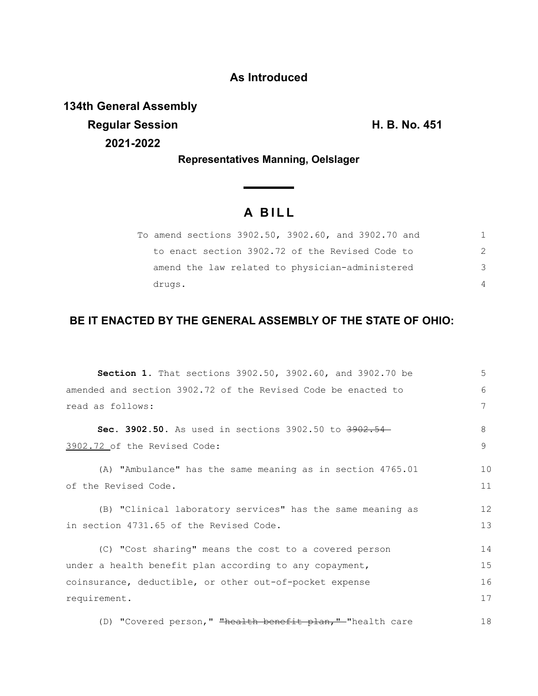## **As Introduced**

**134th General Assembly Regular Session H. B. No. 451 2021-2022**

**Representatives Manning, Oelslager**

## **A B I L L**

**Service State** 

| To amend sections 3902.50, 3902.60, and 3902.70 and |                |
|-----------------------------------------------------|----------------|
| to enact section 3902.72 of the Revised Code to     | $\mathcal{P}$  |
| amend the law related to physician-administered     | 3              |
| drugs.                                              | $\overline{4}$ |

## **BE IT ENACTED BY THE GENERAL ASSEMBLY OF THE STATE OF OHIO:**

| Section 1. That sections 3902.50, 3902.60, and 3902.70 be                                                        | 5        |
|------------------------------------------------------------------------------------------------------------------|----------|
| amended and section 3902.72 of the Revised Code be enacted to                                                    | 6        |
| read as follows:                                                                                                 | 7        |
| Sec. 3902.50. As used in sections 3902.50 to 3902.54<br>3902.72 of the Revised Code:                             | 8<br>9   |
| (A) "Ambulance" has the same meaning as in section 4765.01<br>of the Revised Code.                               | 10<br>11 |
| (B) "Clinical laboratory services" has the same meaning as                                                       | 12       |
| in section 4731.65 of the Revised Code.                                                                          | 13       |
| (C) "Cost sharing" means the cost to a covered person<br>under a health benefit plan according to any copayment, | 14<br>15 |
| coinsurance, deductible, or other out-of-pocket expense                                                          | 16       |
| requirement.                                                                                                     | 17       |
| (D) "Covered person," Thealth benefit plan," Thealth care                                                        | 18       |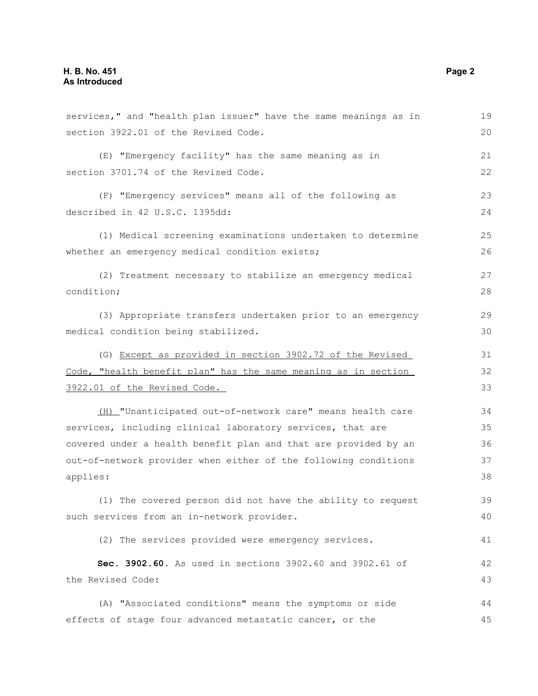| services," and "health plan issuer" have the same meanings as in | 19 |
|------------------------------------------------------------------|----|
| section 3922.01 of the Revised Code.                             | 20 |
| (E) "Emergency facility" has the same meaning as in              | 21 |
| section 3701.74 of the Revised Code.                             | 22 |
| (F) "Emergency services" means all of the following as           | 23 |
| described in 42 U.S.C. 1395dd:                                   | 24 |
| (1) Medical screening examinations undertaken to determine       | 25 |
| whether an emergency medical condition exists;                   | 26 |
| (2) Treatment necessary to stabilize an emergency medical        | 27 |
| condition;                                                       | 28 |
| (3) Appropriate transfers undertaken prior to an emergency       | 29 |
| medical condition being stabilized.                              | 30 |
| (G) Except as provided in section 3902.72 of the Revised         | 31 |
| Code, "health benefit plan" has the same meaning as in section   |    |
| 3922.01 of the Revised Code.                                     | 33 |
| (H) "Unanticipated out-of-network care" means health care        | 34 |
| services, including clinical laboratory services, that are       | 35 |
| covered under a health benefit plan and that are provided by an  | 36 |
| out-of-network provider when either of the following conditions  | 37 |
| applies:                                                         | 38 |
| (1) The covered person did not have the ability to request       | 39 |
| such services from an in-network provider.                       | 40 |
| (2) The services provided were emergency services.               | 41 |
| Sec. 3902.60. As used in sections 3902.60 and 3902.61 of         | 42 |
| the Revised Code:                                                | 43 |
| (A) "Associated conditions" means the symptoms or side           | 44 |
| effects of stage four advanced metastatic cancer, or the         | 45 |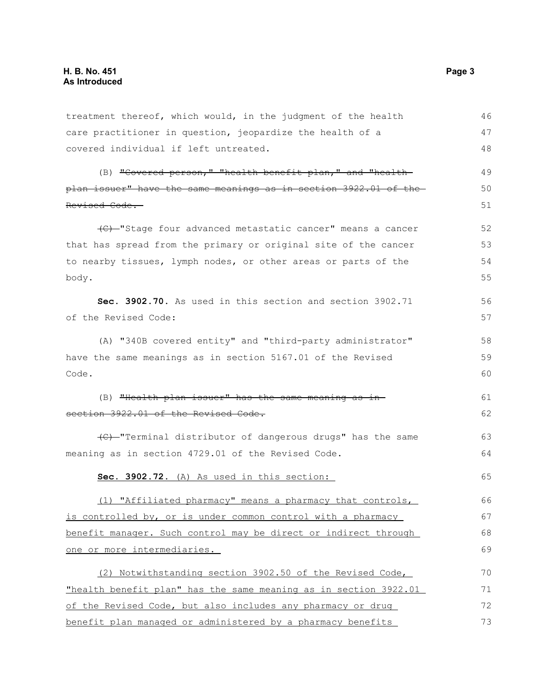treatment thereof, which would, in the judgment of the health care practitioner in question, jeopardize the health of a covered individual if left untreated. (B) "Covered person," "health benefit plan," and "health plan issuer" have the same meanings as in section 3922.01 of the Revised Code. (C) "Stage four advanced metastatic cancer" means a cancer that has spread from the primary or original site of the cancer to nearby tissues, lymph nodes, or other areas or parts of the body. **Sec. 3902.70.** As used in this section and section 3902.71 of the Revised Code: (A) "340B covered entity" and "third-party administrator" have the same meanings as in section 5167.01 of the Revised Code. (B) "Health plan issuer" has the same meaning as in section 3922.01 of the Revised Code. (C) "Terminal distributor of dangerous drugs" has the same meaning as in section 4729.01 of the Revised Code. **Sec. 3902.72.** (A) As used in this section: (1) "Affiliated pharmacy" means a pharmacy that controls, is controlled by, or is under common control with a pharmacy benefit manager. Such control may be direct or indirect through one or more intermediaries. (2) Notwithstanding section 3902.50 of the Revised Code, "health benefit plan" has the same meaning as in section 3922.01 of the Revised Code, but also includes any pharmacy or drug benefit plan managed or administered by a pharmacy benefits 46 47 48 49 50 51 52 53 54 55 56 57 58 59 60 61 62 63 64 65 66 67 68 69 70 71 72 73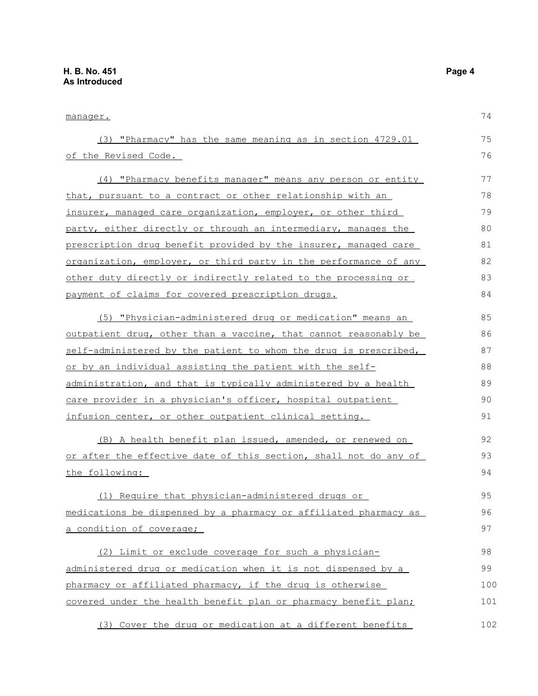manager. (3) "Pharmacy" has the same meaning as in section 4729.01 of the Revised Code. (4) "Pharmacy benefits manager" means any person or entity that, pursuant to a contract or other relationship with an insurer, managed care organization, employer, or other third party, either directly or through an intermediary, manages the prescription drug benefit provided by the insurer, managed care organization, employer, or third party in the performance of any other duty directly or indirectly related to the processing or payment of claims for covered prescription drugs. (5) "Physician-administered drug or medication" means an outpatient drug, other than a vaccine, that cannot reasonably be self-administered by the patient to whom the drug is prescribed, or by an individual assisting the patient with the selfadministration, and that is typically administered by a health care provider in a physician's officer, hospital outpatient infusion center, or other outpatient clinical setting. (B) A health benefit plan issued, amended, or renewed on or after the effective date of this section, shall not do any of the following: (1) Require that physician-administered drugs or medications be dispensed by a pharmacy or affiliated pharmacy as a condition of coverage; (2) Limit or exclude coverage for such a physicianadministered drug or medication when it is not dispensed by a pharmacy or affiliated pharmacy, if the drug is otherwise covered under the health benefit plan or pharmacy benefit plan; 74 75 76 77 78 79 80 81 82 83 84 85 86 87 88 89 90 91 92 93 94 95 96 97 98 99 100 101

(3) Cover the drug or medication at a different benefits 102